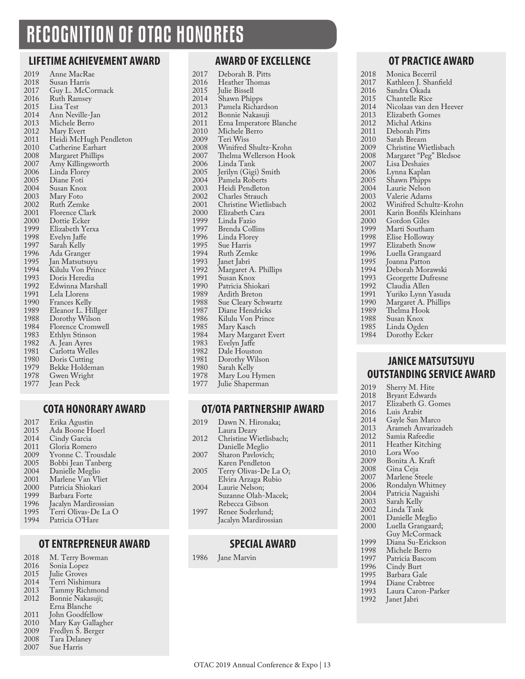# RECOGNITION OF OTAC HONOREES

## **LIFETIME ACHIEVEMENT AWARD**

| 2019 | Anne MacRae                         |
|------|-------------------------------------|
| 2018 | Susan Harris                        |
| 2017 | Guy L. McCormack                    |
| 2016 | <b>Ruth Ramsey</b>                  |
| 2015 | Lisa Test                           |
| 2014 | Ann Neville-Jan                     |
| 2013 | Michele Berro                       |
| 2012 | Mary Evert                          |
| 2011 | Heidi McHugh Pendleton              |
| 2010 | Catherine Earhart                   |
| 2008 | Margaret Phillips                   |
| 2007 | Amy Killingsworth                   |
| 2006 | Linda Florey                        |
| 2005 | Diane Foti                          |
| 2004 | Susan Knox                          |
| 2003 | Mary Foto                           |
| 2002 | Ruth Zemke                          |
| 2001 | <b>Florence Clark</b>               |
| 2000 | Dottie Ecker                        |
| 1999 | Elizabeth Yerxa                     |
| 1998 | Evelyn Jaffe                        |
| 1997 | Sarah Kelly                         |
| 1996 | Ada Granger                         |
| 1995 | Jan Matsutsuyu                      |
| 1994 | Kilulu Von Prince                   |
| 1993 | Doris Heredia                       |
| 1992 | Edwinna Marshall                    |
| 1991 | Lela Llorens                        |
| 1990 | Frances Kelly                       |
| 1989 | Eleanor L. Hillger                  |
| 1988 |                                     |
| 1984 | Dorothy Wilson<br>Florence Cromwell |
| 1983 | Ethlyn Stinson                      |
| 1982 | A. Jean Ayres                       |
| 1981 | Carlotta Welles                     |
| 1980 | Doris Cutting                       |
| 1979 | Bekke Holdeman                      |
| 1978 | Gwen Wright                         |
|      |                                     |

Jean Peck

## **COTA HONORARY AWARD**

| 2017 | Erika Agustin        |
|------|----------------------|
| 2015 | Ada Boone Hoerl      |
| 2014 | Cindy Garcia         |
| 2011 | Gloria Romero        |
| 2009 | Yvonne C. Trousdale  |
| 2005 | Bobbi Jean Tanberg   |
| 2004 | Danielle Meglio      |
| 2001 | Marlene Van Vliet    |
| 2000 | Patricia Shiokari    |
| 1999 | Barbara Forte        |
| 1996 | Jacalyn Mardirossian |
| 1995 | Terri Olivas-De La O |
| 1994 | Patricia O'Hare      |
|      |                      |

## **OT ENTREPRENEUR AWARD**

| 2018 | M. Terry Bowman    |
|------|--------------------|
| 2016 | Sonia Lopez        |
| 2015 | Julie Groves       |
| 2014 | Terri Nishimura    |
| 2013 | Tammy Richmond     |
| 2012 | Bonnie Nakasuji;   |
|      | Erna Blanche       |
| 2011 | John Goodfellow    |
| 2010 | Mary Kay Gallagher |
| 2009 | Fredlyn S. Berger  |
| 2008 | Tara Delaney       |
| 2007 | Sue Harris         |

#### **AWARD OF EXCELLENCE**

| Deborah B. Pitts        |
|-------------------------|
| Heather Thomas          |
| Julie Bissell           |
| Shawn Phipps            |
| Pamela Richardson       |
| Bonnie Nakasuji         |
| Erna Imperatore Blanche |
| Michele Berro           |
| Teri Wiss               |
| Winifred Shultz-Krohn   |
| Thelma Wellerson Hook   |
| Linda Tank              |
| Jerilyn (Gigi) Smith    |
| Pamela Roberts          |
| Heidi Pendleton         |
| Charles Strauch         |
| Christine Wietlisbach   |
| Elizabeth Cara          |
| Linda Fazio             |
| <b>Brenda Collins</b>   |
| Linda Florey            |
| Sue Harris              |
| Ruth Zemke              |
| Janet Jabri             |
| Margaret A. Phillips    |
| Susan Knox              |
| Patricia Shiokari       |
| Ardith Breton           |
| Sue Cleary Schwartz     |
| Diane Hendricks         |
| Kilulu Von Prince       |
| Mary Kasch              |
| Mary Margaret Evert     |
| Evelyn Jaffe            |
| Dale Houston            |
| Dorothy Wilson          |
| Sarah Kelly             |
| Mary Lou Hymen          |
| Julie Shaperman         |
|                         |

#### **OT/OTA PARTNERSHIP AWARD**

| 2019 | Dawn N. Hironaka;      |
|------|------------------------|
|      | Laura Deary            |
| 2012 | Christine Wietlisbach; |
|      | Danielle Meglio        |
| 2007 | Sharon Pavlovich;      |
|      | Karen Pendleton        |
| 2005 | Terry Olivas-De La O;  |
|      | Elvira Arzaga Rubio    |
| 2004 | Laurie Nelson;         |
|      | Suzanne Olah-Macek;    |
|      | Rebecca Gibson         |
| 1997 | Renee Soderlund;       |
|      | Jacalyn Mardirossian   |
|      |                        |

#### **SPECIAL AWARD**

Jane Marvin

#### **OT PRACTICE AWARD**

| 2018 | Monica Becerril         |
|------|-------------------------|
| 2017 | Kathleen J. Shanfield   |
| 2016 | Sandra Okada            |
| 2015 | <b>Chantelle Rice</b>   |
| 2014 | Nicolaas van den Heever |
| 2013 | <b>Elizabeth Gomes</b>  |
| 2012 | Michal Atkins           |
| 2011 | Deborah Pitts           |
| 2010 | Sarah Bream             |
| 2009 | Christine Wietlisbach   |
| 2008 | Margaret "Peg" Bledsoe  |
| 2007 | Lisa Deshaies           |
| 2006 | Lynna Kaplan            |
| 2005 | Shawn Phipps            |
| 2004 | Laurie Nelson           |
| 2003 | Valerie Adams           |
| 2002 | Winifred Schultz-Krohn  |
| 2001 | Karin Bonfils Kleinhans |
| 2000 | Gordon Giles            |
| 1999 | Marti Southam           |
| 1998 | Elise Holloway          |
| 1997 | Elizabeth Snow          |
| 1996 | Luella Grangaard        |
| 1995 | Joanna Patton           |
| 1994 | Deborah Morawski        |
| 1993 | Georgette Dufresne      |
| 1992 | Claudia Allen           |
| 1991 | Yuriko Lynn Yasuda      |
| 1990 | Margaret A. Phillips    |
| 1989 | Thelma Hook             |
| 1988 | Susan Knox              |
| 1985 | Linda Ogden             |
| 1984 | Dorothy Ecker           |
|      |                         |

## **JANICE MATSUTSUYU OUTSTANDING SERVICE AWARD**

| 2019 | Sherry M. Hite        |
|------|-----------------------|
| 2018 | <b>Bryant Edwards</b> |
| 2017 | Elizabeth G. Gomes    |
| 2016 | Luis Arabit           |
| 2014 | Gayle San Marco       |
| 2013 | Arameh Anvarizadeh    |
| 2012 | Samia Rafeedie        |
| 2011 | Heather Kitching      |
| 2010 | Lora Woo              |
| 2009 | Bonita A. Kraft       |
| 2008 | Gina Ceja             |
| 2007 | Marlene Steele        |
| 2006 | Rondalyn Whitney      |
| 2004 | Patricia Nagaishi     |
| 2003 | Sarah Kelly           |
| 2002 | Linda Tank            |
| 2001 | Danielle Meglio       |
| 2000 | Luella Grangaard;     |
|      | Guy McCormack         |
| 1999 | Diana Su-Erickson     |
| 1998 | Michele Berro         |
| 1997 | Patricia Bascom       |
| 1996 | Cindy Burt            |
| 1995 | Barbara Gale          |
| 1994 | Diane Crabtree        |
| 1993 | Laura Caron-Parker    |
| 1992 | Janet Jabri           |
|      |                       |